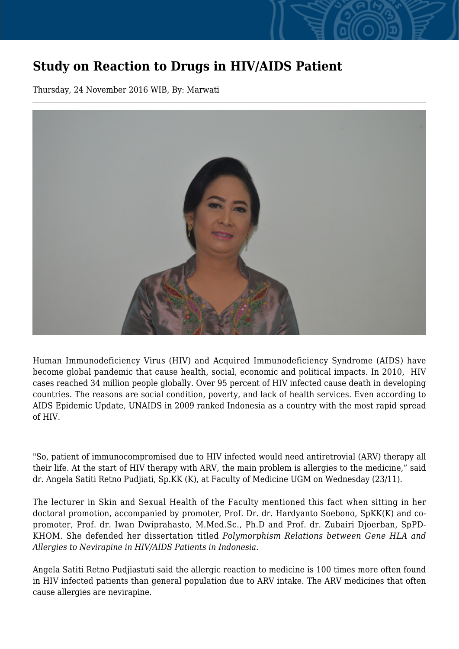## **Study on Reaction to Drugs in HIV/AIDS Patient**

Thursday, 24 November 2016 WIB, By: Marwati



Human Immunodeficiency Virus (HIV) and Acquired Immunodeficiency Syndrome (AIDS) have become global pandemic that cause health, social, economic and political impacts. In 2010, HIV cases reached 34 million people globally. Over 95 percent of HIV infected cause death in developing countries. The reasons are social condition, poverty, and lack of health services. Even according to AIDS Epidemic Update, UNAIDS in 2009 ranked Indonesia as a country with the most rapid spread of HIV.

"So, patient of immunocompromised due to HIV infected would need antiretrovial (ARV) therapy all their life. At the start of HIV therapy with ARV, the main problem is allergies to the medicine," said dr. Angela Satiti Retno Pudjiati, Sp.KK (K), at Faculty of Medicine UGM on Wednesday (23/11).

The lecturer in Skin and Sexual Health of the Faculty mentioned this fact when sitting in her doctoral promotion, accompanied by promoter, Prof. Dr. dr. Hardyanto Soebono, SpKK(K) and copromoter, Prof. dr. Iwan Dwiprahasto, M.Med.Sc., Ph.D and Prof. dr. Zubairi Djoerban, SpPD-KHOM. She defended her dissertation titled *Polymorphism Relations between Gene HLA and Allergies to Nevirapine in HIV/AIDS Patients in Indonesia.*

Angela Satiti Retno Pudjiastuti said the allergic reaction to medicine is 100 times more often found in HIV infected patients than general population due to ARV intake. The ARV medicines that often cause allergies are nevirapine.